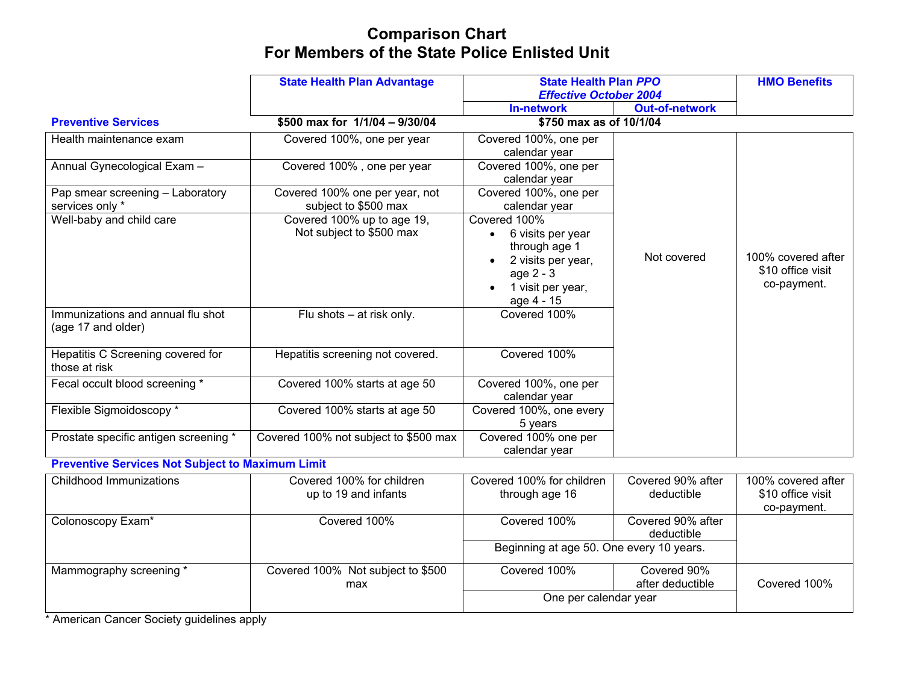# **Comparison Chart For Members of the State Police Enlisted Unit**

|                                                         | <b>State Health Plan Advantage</b>    | <b>State Health Plan PPO</b>  |                       | <b>HMO Benefits</b> |
|---------------------------------------------------------|---------------------------------------|-------------------------------|-----------------------|---------------------|
|                                                         |                                       | <b>Effective October 2004</b> |                       |                     |
|                                                         |                                       | <b>In-network</b>             | <b>Out-of-network</b> |                     |
| <b>Preventive Services</b>                              | \$500 max for 1/1/04 - 9/30/04        | \$750 max as of 10/1/04       |                       |                     |
| Health maintenance exam                                 | Covered 100%, one per year            | Covered 100%, one per         |                       |                     |
|                                                         |                                       | calendar year                 |                       |                     |
| Annual Gynecological Exam -                             | Covered 100%, one per year            | Covered 100%, one per         |                       |                     |
|                                                         |                                       | calendar year                 |                       |                     |
| Pap smear screening - Laboratory                        | Covered 100% one per year, not        | Covered 100%, one per         |                       |                     |
| services only *                                         | subject to \$500 max                  | calendar year                 |                       |                     |
| Well-baby and child care                                | Covered 100% up to age 19,            | Covered 100%                  |                       |                     |
|                                                         | Not subject to \$500 max              | 6 visits per year             |                       |                     |
|                                                         |                                       | through age 1                 |                       |                     |
|                                                         |                                       | 2 visits per year,            | Not covered           | 100% covered after  |
|                                                         |                                       | age 2 - 3                     |                       | \$10 office visit   |
|                                                         |                                       | 1 visit per year,             |                       | co-payment.         |
|                                                         |                                       | age 4 - 15                    |                       |                     |
| Immunizations and annual flu shot<br>(age 17 and older) | Flu shots – at risk only.             | Covered 100%                  |                       |                     |
|                                                         |                                       |                               |                       |                     |
| Hepatitis C Screening covered for                       | Hepatitis screening not covered.      | Covered 100%                  |                       |                     |
| those at risk                                           |                                       |                               |                       |                     |
| Fecal occult blood screening *                          | Covered 100% starts at age 50         | Covered 100%, one per         |                       |                     |
|                                                         |                                       | calendar year                 |                       |                     |
| Flexible Sigmoidoscopy *                                | Covered 100% starts at age 50         | Covered 100%, one every       |                       |                     |
|                                                         |                                       | 5 years                       |                       |                     |
| Prostate specific antigen screening *                   | Covered 100% not subject to \$500 max | Covered 100% one per          |                       |                     |
|                                                         |                                       | calendar year                 |                       |                     |
| <b>Preventive Services Not Subject to Maximum Limit</b> |                                       |                               |                       |                     |

| Covered 100% for children         | Covered 100% for children | Covered 90% after | 100% covered after                       |
|-----------------------------------|---------------------------|-------------------|------------------------------------------|
| up to 19 and infants              | through age 16            | deductible        | \$10 office visit                        |
|                                   |                           |                   | co-payment.                              |
| Covered 100%                      | Covered 100%              | Covered 90% after |                                          |
|                                   |                           | deductible        |                                          |
|                                   |                           |                   |                                          |
| Covered 100% Not subject to \$500 | Covered 100%              | Covered 90%       |                                          |
| max                               |                           | after deductible  | Covered 100%                             |
|                                   | One per calendar year     |                   |                                          |
|                                   |                           |                   | Beginning at age 50. One every 10 years. |

\* American Cancer Society guidelines apply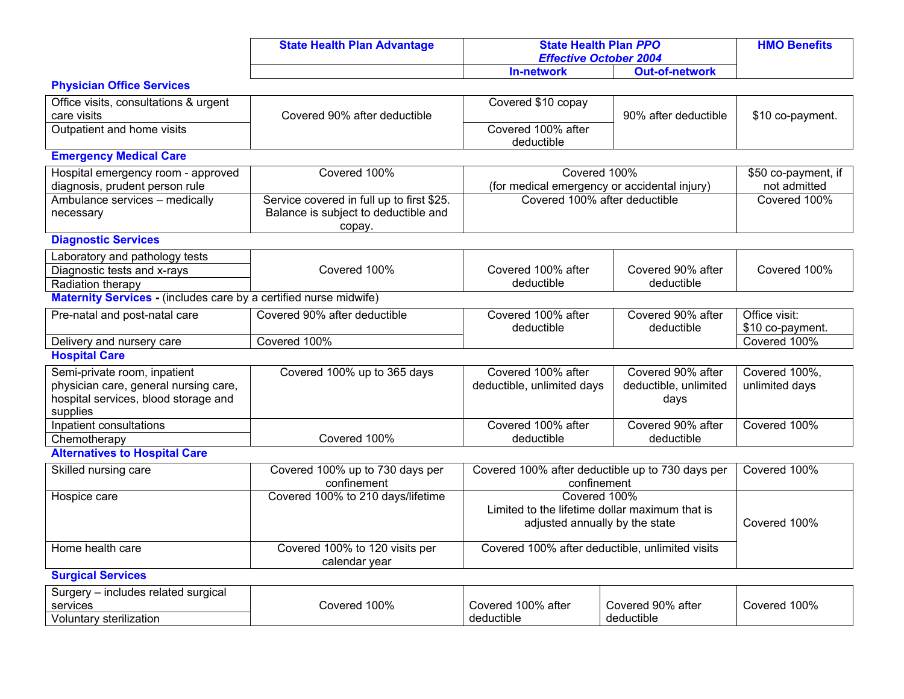| <b>State Health Plan Advantage</b> |                   | <b>State Health Plan PPO</b><br><b>Effective October 2004</b> |  |
|------------------------------------|-------------------|---------------------------------------------------------------|--|
|                                    | <b>In-network</b> | <b>Out-of-network</b>                                         |  |

## **Physician Office Services**

| Office visits, consultations & urgent                             |                                           | Covered \$10 copay                               |                       |                              |
|-------------------------------------------------------------------|-------------------------------------------|--------------------------------------------------|-----------------------|------------------------------|
| care visits<br>Outpatient and home visits                         | Covered 90% after deductible              | Covered 100% after                               | 90% after deductible  | \$10 co-payment.             |
|                                                                   |                                           | deductible                                       |                       |                              |
| <b>Emergency Medical Care</b>                                     |                                           |                                                  |                       |                              |
|                                                                   |                                           |                                                  |                       |                              |
| Hospital emergency room - approved                                | Covered 100%                              | Covered 100%                                     |                       | \$50 co-payment, if          |
| diagnosis, prudent person rule                                    | Service covered in full up to first \$25. | (for medical emergency or accidental injury)     |                       | not admitted<br>Covered 100% |
| Ambulance services - medically                                    | Balance is subject to deductible and      | Covered 100% after deductible                    |                       |                              |
| necessary                                                         | copay.                                    |                                                  |                       |                              |
| <b>Diagnostic Services</b>                                        |                                           |                                                  |                       |                              |
| Laboratory and pathology tests                                    |                                           |                                                  |                       |                              |
| Diagnostic tests and x-rays                                       | Covered 100%                              | Covered 100% after                               | Covered 90% after     | Covered 100%                 |
| Radiation therapy                                                 |                                           | deductible                                       | deductible            |                              |
| Maternity Services - (includes care by a certified nurse midwife) |                                           |                                                  |                       |                              |
| Pre-natal and post-natal care                                     | Covered 90% after deductible              | Covered 100% after                               | Covered 90% after     | Office visit:                |
|                                                                   |                                           | deductible                                       | deductible            | \$10 co-payment.             |
| Delivery and nursery care                                         | Covered 100%                              |                                                  |                       | Covered 100%                 |
| <b>Hospital Care</b>                                              |                                           |                                                  |                       |                              |
| Semi-private room, inpatient                                      | Covered 100% up to 365 days               | Covered 100% after                               | Covered 90% after     | Covered 100%,                |
| physician care, general nursing care,                             |                                           | deductible, unlimited days                       | deductible, unlimited | unlimited days               |
| hospital services, blood storage and                              |                                           |                                                  | days                  |                              |
| supplies                                                          |                                           |                                                  |                       |                              |
| Inpatient consultations                                           |                                           | Covered 100% after                               | Covered 90% after     | Covered 100%                 |
| Chemotherapy                                                      | Covered 100%                              | deductible                                       | deductible            |                              |
| <b>Alternatives to Hospital Care</b>                              |                                           |                                                  |                       |                              |
| Skilled nursing care                                              | Covered 100% up to 730 days per           | Covered 100% after deductible up to 730 days per |                       | Covered 100%                 |
|                                                                   | confinement                               | confinement                                      |                       |                              |
| Hospice care                                                      | Covered 100% to 210 days/lifetime         | Covered 100%                                     |                       |                              |
|                                                                   |                                           | Limited to the lifetime dollar maximum that is   |                       |                              |
|                                                                   |                                           | adjusted annually by the state                   |                       | Covered 100%                 |
| Home health care                                                  | Covered 100% to 120 visits per            | Covered 100% after deductible, unlimited visits  |                       |                              |
|                                                                   | calendar year                             |                                                  |                       |                              |
| <b>Surgical Services</b>                                          |                                           |                                                  |                       |                              |
| Surgery - includes related surgical                               |                                           |                                                  |                       |                              |
| services                                                          | Covered 100%                              | Covered 100% after                               | Covered 90% after     | Covered 100%                 |
| Voluntary sterilization                                           |                                           | deductible                                       | deductible            |                              |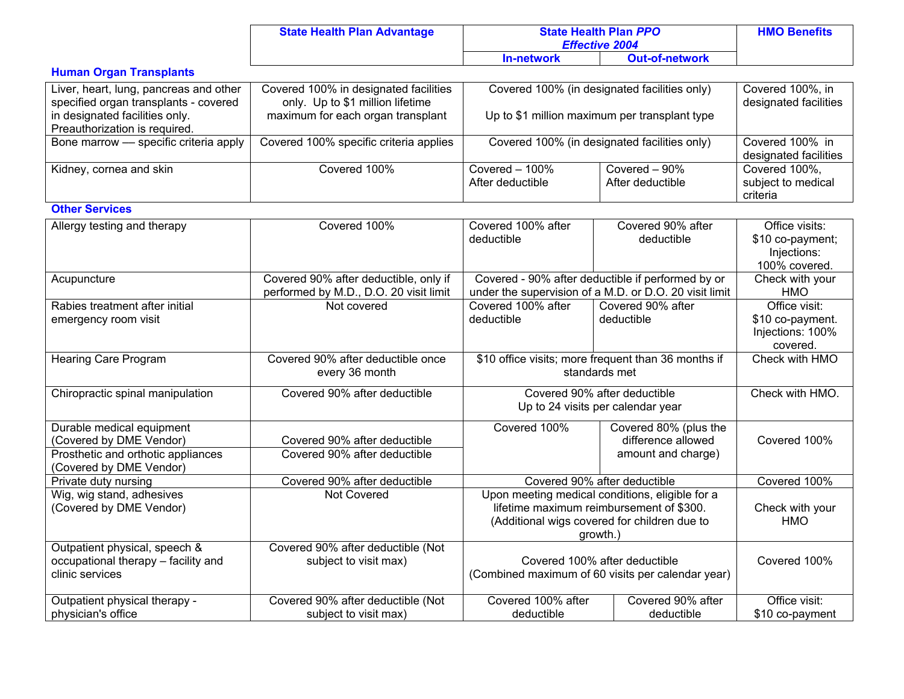| <b>State Health Plan Advantage</b> |            | <b>State Health Plan PPO</b><br><b>Effective 2004</b> | <b>HMO Benefits</b> |
|------------------------------------|------------|-------------------------------------------------------|---------------------|
|                                    | In-network | <b>Out-of-network</b>                                 |                     |

## **Human Organ Transplants**

| Liver, heart, lung, pancreas and other<br>specified organ transplants - covered<br>in designated facilities only.<br>Preauthorization is required. | Covered 100% in designated facilities<br>only. Up to \$1 million lifetime<br>maximum for each organ transplant | Covered 100% (in designated facilities only)<br>Up to \$1 million maximum per transplant type |                                     | Covered 100%, in<br>designated facilities       |
|----------------------------------------------------------------------------------------------------------------------------------------------------|----------------------------------------------------------------------------------------------------------------|-----------------------------------------------------------------------------------------------|-------------------------------------|-------------------------------------------------|
| Bone marrow - specific criteria apply                                                                                                              | Covered 100% specific criteria applies                                                                         | Covered 100% (in designated facilities only)                                                  |                                     | Covered 100% in<br>designated facilities        |
| Kidney, cornea and skin                                                                                                                            | Covered 100%                                                                                                   | Covered $-100\%$<br>After deductible                                                          | Covered $-90\%$<br>After deductible | Covered 100%.<br>subject to medical<br>criteria |

#### **Other Services**

| Allergy testing and therapy                                                                                           | Covered 100%                                                                    | Covered 100% after<br>deductible                                                                                                                        | Covered 90% after<br>deductible                                   | Office visits:<br>\$10 co-payment;<br>Injections:<br>100% covered. |
|-----------------------------------------------------------------------------------------------------------------------|---------------------------------------------------------------------------------|---------------------------------------------------------------------------------------------------------------------------------------------------------|-------------------------------------------------------------------|--------------------------------------------------------------------|
| Acupuncture                                                                                                           | Covered 90% after deductible, only if<br>performed by M.D., D.O. 20 visit limit | Covered - 90% after deductible if performed by or<br>under the supervision of a M.D. or D.O. 20 visit limit                                             |                                                                   | Check with your<br><b>HMO</b>                                      |
| Rabies treatment after initial<br>emergency room visit                                                                | Not covered                                                                     | Covered 100% after<br>deductible                                                                                                                        | Covered 90% after<br>deductible                                   | Office visit:<br>\$10 co-payment.<br>Injections: 100%<br>covered.  |
| Hearing Care Program                                                                                                  | Covered 90% after deductible once<br>every 36 month                             | \$10 office visits; more frequent than 36 months if<br>standards met                                                                                    |                                                                   | Check with HMO                                                     |
| Chiropractic spinal manipulation                                                                                      | Covered 90% after deductible                                                    | Covered 90% after deductible<br>Up to 24 visits per calendar year                                                                                       |                                                                   | Check with HMO.                                                    |
| Durable medical equipment<br>(Covered by DME Vendor)<br>Prosthetic and orthotic appliances<br>(Covered by DME Vendor) | Covered 90% after deductible<br>Covered 90% after deductible                    | Covered 100%                                                                                                                                            | Covered 80% (plus the<br>difference allowed<br>amount and charge) | Covered 100%                                                       |
| Private duty nursing                                                                                                  | Covered 90% after deductible                                                    |                                                                                                                                                         | Covered 90% after deductible                                      | Covered 100%                                                       |
| Wig, wig stand, adhesives<br>(Covered by DME Vendor)                                                                  | Not Covered                                                                     | Upon meeting medical conditions, eligible for a<br>lifetime maximum reimbursement of \$300.<br>(Additional wigs covered for children due to<br>growth.) |                                                                   | Check with your<br>HMO                                             |
| Outpatient physical, speech &<br>occupational therapy - facility and<br>clinic services                               | Covered 90% after deductible (Not<br>subject to visit max)                      | Covered 100% after deductible<br>(Combined maximum of 60 visits per calendar year)                                                                      |                                                                   | Covered 100%                                                       |
| Outpatient physical therapy -<br>physician's office                                                                   | Covered 90% after deductible (Not<br>subject to visit max)                      | Covered 100% after<br>deductible                                                                                                                        | Covered 90% after<br>deductible                                   | Office visit:<br>\$10 co-payment                                   |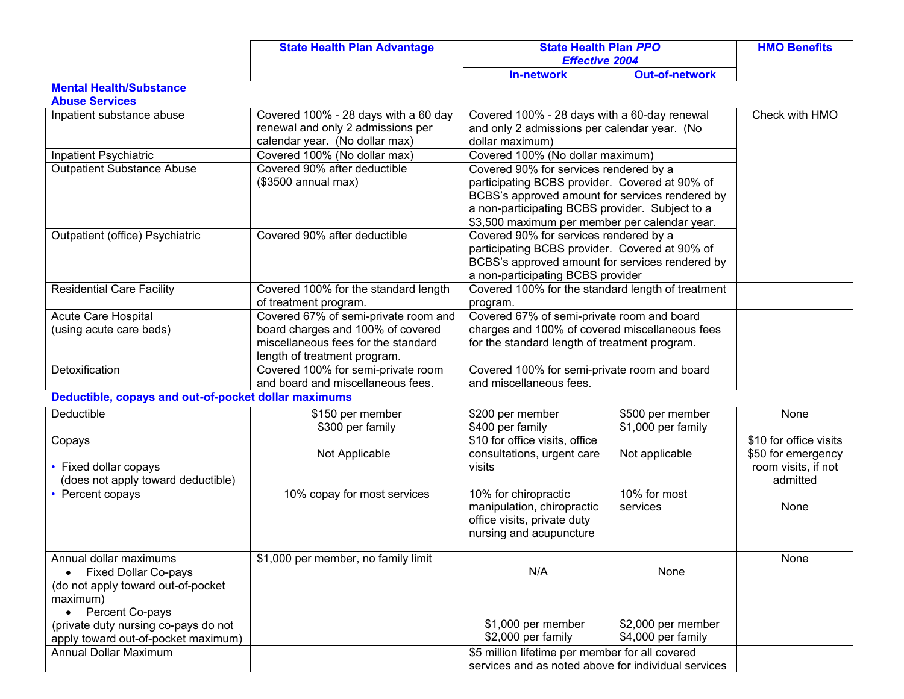| <b>State Health Plan Advantage</b> | <b>State Health Plan PPO</b><br><b>Effective 2004</b> |                       | <b>HMO Benefits</b> |
|------------------------------------|-------------------------------------------------------|-----------------------|---------------------|
|                                    | <b>In-network</b>                                     | <b>Out-of-network</b> |                     |

#### **Mental Health/Substance**

### **Abuse Services**

| Inpatient substance abuse                            | Covered 100% - 28 days with a 60 day | Covered 100% - 28 days with a 60-day renewal      |                    | Check with HMO         |
|------------------------------------------------------|--------------------------------------|---------------------------------------------------|--------------------|------------------------|
|                                                      | renewal and only 2 admissions per    | and only 2 admissions per calendar year. (No      |                    |                        |
|                                                      | calendar year. (No dollar max)       | dollar maximum)                                   |                    |                        |
| Inpatient Psychiatric                                | Covered 100% (No dollar max)         | Covered 100% (No dollar maximum)                  |                    |                        |
| <b>Outpatient Substance Abuse</b>                    | Covered 90% after deductible         | Covered 90% for services rendered by a            |                    |                        |
|                                                      | $($3500$ annual max)                 | participating BCBS provider. Covered at 90% of    |                    |                        |
|                                                      |                                      | BCBS's approved amount for services rendered by   |                    |                        |
|                                                      |                                      | a non-participating BCBS provider. Subject to a   |                    |                        |
|                                                      |                                      | \$3,500 maximum per member per calendar year.     |                    |                        |
| Outpatient (office) Psychiatric                      | Covered 90% after deductible         | Covered 90% for services rendered by a            |                    |                        |
|                                                      |                                      | participating BCBS provider. Covered at 90% of    |                    |                        |
|                                                      |                                      | BCBS's approved amount for services rendered by   |                    |                        |
|                                                      |                                      | a non-participating BCBS provider                 |                    |                        |
| <b>Residential Care Facility</b>                     | Covered 100% for the standard length | Covered 100% for the standard length of treatment |                    |                        |
|                                                      | of treatment program.                | program.                                          |                    |                        |
| <b>Acute Care Hospital</b>                           | Covered 67% of semi-private room and | Covered 67% of semi-private room and board        |                    |                        |
| (using acute care beds)                              | board charges and 100% of covered    | charges and 100% of covered miscellaneous fees    |                    |                        |
|                                                      | miscellaneous fees for the standard  | for the standard length of treatment program.     |                    |                        |
|                                                      | length of treatment program.         |                                                   |                    |                        |
| Detoxification                                       | Covered 100% for semi-private room   | Covered 100% for semi-private room and board      |                    |                        |
|                                                      | and board and miscellaneous fees.    | and miscellaneous fees.                           |                    |                        |
| Deductible, copays and out-of-pocket dollar maximums |                                      |                                                   |                    |                        |
| Deductible                                           | \$150 per member                     | \$200 per member                                  | \$500 per member   | None                   |
|                                                      | \$300 per family                     | \$400 per family                                  | \$1,000 per family |                        |
| Copays                                               |                                      | \$10 for office visits, office                    |                    | \$10 for office visits |
|                                                      | Not Applicable                       | consultations, urgent care                        | Not applicable     | \$50 for emergency     |
| as and deller as any                                 |                                      | $\ldots$                                          |                    | anno inita if nat      |

| Fixed dollar copays<br>(does not apply toward deductible)                                                                                                                                                 | Not Applicable                      | consultations, urgent care<br>visits                                                                         | Not applicable                                   | \$50 for emergency<br>room visits, if not<br>admitted |
|-----------------------------------------------------------------------------------------------------------------------------------------------------------------------------------------------------------|-------------------------------------|--------------------------------------------------------------------------------------------------------------|--------------------------------------------------|-------------------------------------------------------|
| • Percent copays                                                                                                                                                                                          | 10% copay for most services         | 10% for chiropractic<br>manipulation, chiropractic<br>office visits, private duty<br>nursing and acupuncture | 10% for most<br>services                         | None                                                  |
| Annual dollar maximums<br><b>Fixed Dollar Co-pays</b><br>(do not apply toward out-of-pocket<br>maximum)<br>Percent Co-pays<br>(private duty nursing co-pays do not<br>apply toward out-of-pocket maximum) | \$1,000 per member, no family limit | N/A<br>\$1,000 per member<br>\$2,000 per family                                                              | None<br>\$2,000 per member<br>\$4,000 per family | None                                                  |
| <b>Annual Dollar Maximum</b>                                                                                                                                                                              |                                     | \$5 million lifetime per member for all covered<br>services and as noted above for individual services       |                                                  |                                                       |